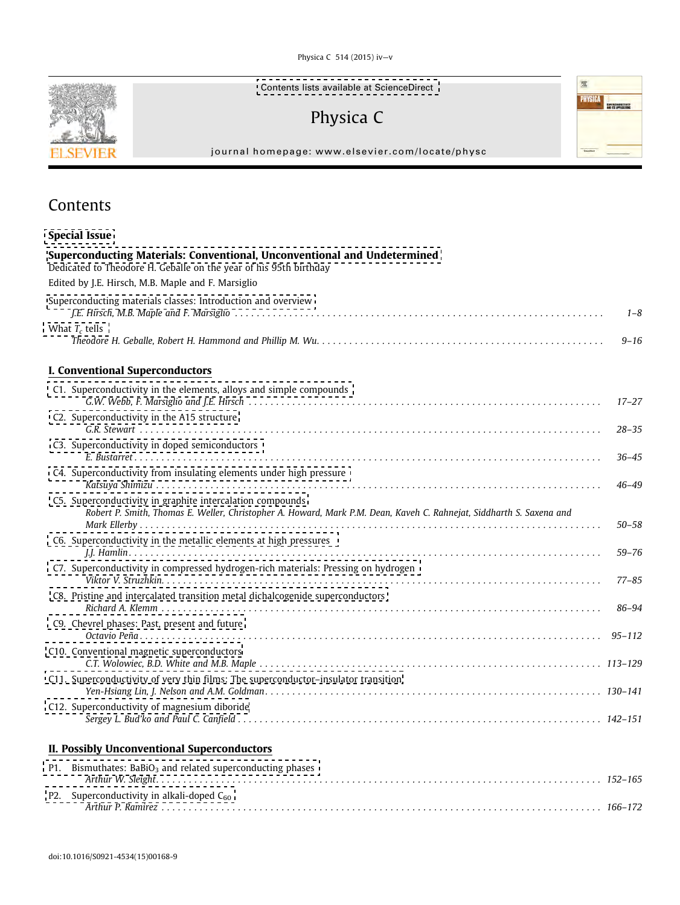Physica C 514 (2015) iv—v



[Contents lists available at ScienceDirect](http://www.sciencedirect.com/science/journal/09214534/514/supp/C)

屋

PHYSICA **Physica** 

# Physica C

journal homepage: www.elsevier.com/locate/physc

# Contents

| <b>Special Issue</b>                                                                                                                                                              |           |
|-----------------------------------------------------------------------------------------------------------------------------------------------------------------------------------|-----------|
| Superconducting Materials: Conventional, Unconventional and Undetermined<br>Dedicated to Theodore H. Geballe on the year of his 95th birthday                                     |           |
| Edited by J.E. Hirsch, M.B. Maple and F. Marsiglio                                                                                                                                |           |
| Superconducting materials classes: Introduction and overview                                                                                                                      | $1 - 8$   |
| What $T_c$ tells                                                                                                                                                                  | $9 - 16$  |
| I. Conventional Superconductors                                                                                                                                                   |           |
| C1. Superconductivity in the elements, alloys and simple compounds                                                                                                                | $17 - 27$ |
| C2. Superconductivity in the A15 structure                                                                                                                                        | $28 - 35$ |
| C3. Superconductivity in doped semiconductors                                                                                                                                     | $36 - 45$ |
| C4. Superconductivity from insulating elements under high pressure                                                                                                                | $46 - 49$ |
| C5. Superconductivity in graphite intercalation compounds<br>Robert P. Smith, Thomas E. Weller, Christopher A. Howard, Mark P.M. Dean, Kaveh C. Rahnejat, Siddharth S. Saxena and | $50 - 58$ |
| C6. Superconductivity in the metallic elements at high pressures                                                                                                                  | $59 - 76$ |
| C7. Superconductivity in compressed hydrogen-rich materials: Pressing on hydrogen                                                                                                 | $77 - 85$ |
| C8. Pristine and intercalated transition metal dichalcogenide superconductors                                                                                                     | 86–94     |
| C9. Chevrel phases: Past, present and future                                                                                                                                      |           |
| C10. Conventional magnetic superconductors                                                                                                                                        |           |
| C11. Superconductivity of very thin films: The superconductor-insulator transition                                                                                                |           |
| C12. Superconductivity of magnesium diboride                                                                                                                                      |           |

### II. Possibly Unconventional Superconductors

| P1. Bismuthates: $BaBiO3$ and related superconducting phases |  |
|--------------------------------------------------------------|--|
|                                                              |  |
| P2. Superconductivity in alkali-doped $C_{60}$               |  |
|                                                              |  |